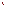